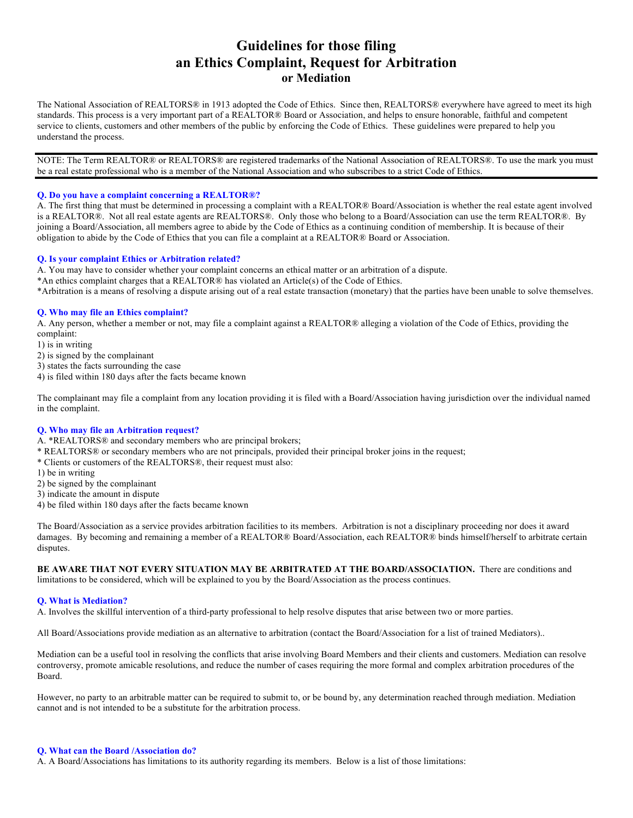# **Guidelines for those filing an Ethics Complaint, Request for Arbitration or Mediation**

The National Association of REALTORS® in 1913 adopted the Code of Ethics. Since then, REALTORS® everywhere have agreed to meet its high standards. This process is a very important part of a REALTOR® Board or Association, and helps to ensure honorable, faithful and competent service to clients, customers and other members of the public by enforcing the Code of Ethics. These guidelines were prepared to help you understand the process.

NOTE: The Term REALTOR® or REALTORS® are registered trademarks of the National Association of REALTORS®. To use the mark you must be a real estate professional who is a member of the National Association and who subscribes to a strict Code of Ethics.

#### **Q. Do you have a complaint concerning a REALTOR®?**

A. The first thing that must be determined in processing a complaint with a REALTOR® Board/Association is whether the real estate agent involved is a REALTOR®. Not all real estate agents are REALTORS®. Only those who belong to a Board/Association can use the term REALTOR®. By joining a Board/Association, all members agree to abide by the Code of Ethics as a continuing condition of membership. It is because of their obligation to abide by the Code of Ethics that you can file a complaint at a REALTOR® Board or Association.

#### **Q. Is your complaint Ethics or Arbitration related?**

A. You may have to consider whether your complaint concerns an ethical matter or an arbitration of a dispute.

\*An ethics complaint charges that a REALTOR® has violated an Article(s) of the Code of Ethics.

\*Arbitration is a means of resolving a dispute arising out of a real estate transaction (monetary) that the parties have been unable to solve themselves.

### **Q. Who may file an Ethics complaint?**

A. Any person, whether a member or not, may file a complaint against a REALTOR® alleging a violation of the Code of Ethics, providing the complaint:

1) is in writing

- 2) is signed by the complainant
- 3) states the facts surrounding the case
- 4) is filed within 180 days after the facts became known

The complainant may file a complaint from any location providing it is filed with a Board/Association having jurisdiction over the individual named in the complaint.

#### **Q. Who may file an Arbitration request?**

A. \*REALTORS® and secondary members who are principal brokers;

- \* REALTORS® or secondary members who are not principals, provided their principal broker joins in the request;
- \* Clients or customers of the REALTORS®, their request must also:
- 1) be in writing
- 2) be signed by the complainant
- 3) indicate the amount in dispute
- 4) be filed within 180 days after the facts became known

The Board/Association as a service provides arbitration facilities to its members. Arbitration is not a disciplinary proceeding nor does it award damages. By becoming and remaining a member of a REALTOR® Board/Association, each REALTOR® binds himself/herself to arbitrate certain disputes.

**BE AWARE THAT NOT EVERY SITUATION MAY BE ARBITRATED AT THE BOARD/ASSOCIATION.** There are conditions and limitations to be considered, which will be explained to you by the Board/Association as the process continues.

#### **Q. What is Mediation?**

A. Involves the skillful intervention of a third-party professional to help resolve disputes that arise between two or more parties.

All Board/Associations provide mediation as an alternative to arbitration (contact the Board/Association for a list of trained Mediators)..

Mediation can be a useful tool in resolving the conflicts that arise involving Board Members and their clients and customers. Mediation can resolve controversy, promote amicable resolutions, and reduce the number of cases requiring the more formal and complex arbitration procedures of the Board.

However, no party to an arbitrable matter can be required to submit to, or be bound by, any determination reached through mediation. Mediation cannot and is not intended to be a substitute for the arbitration process.

#### **Q. What can the Board /Association do?**

A. A Board/Associations has limitations to its authority regarding its members. Below is a list of those limitations: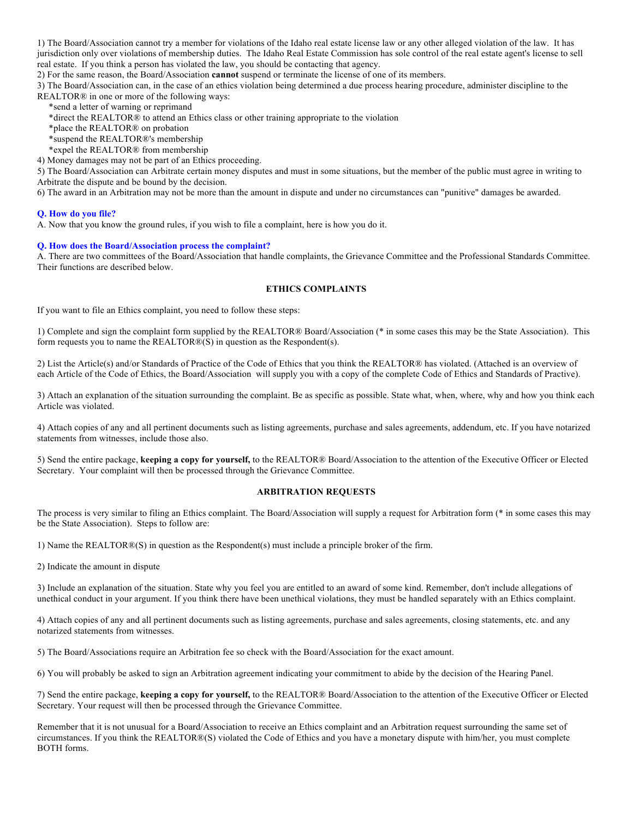1) The Board/Association cannot try a member for violations of the Idaho real estate license law or any other alleged violation of the law. It has jurisdiction only over violations of membership duties. The Idaho Real Estate Commission has sole control of the real estate agent's license to sell real estate. If you think a person has violated the law, you should be contacting that agency.

2) For the same reason, the Board/Association **cannot** suspend or terminate the license of one of its members.

3) The Board/Association can, in the case of an ethics violation being determined a due process hearing procedure, administer discipline to the REALTOR® in one or more of the following ways:

\*send a letter of warning or reprimand

\*direct the REALTOR® to attend an Ethics class or other training appropriate to the violation

\*place the REALTOR® on probation

\*suspend the REALTOR®'s membership

\*expel the REALTOR® from membership

4) Money damages may not be part of an Ethics proceeding.

5) The Board/Association can Arbitrate certain money disputes and must in some situations, but the member of the public must agree in writing to Arbitrate the dispute and be bound by the decision.

6) The award in an Arbitration may not be more than the amount in dispute and under no circumstances can "punitive" damages be awarded.

#### **Q. How do you file?**

A. Now that you know the ground rules, if you wish to file a complaint, here is how you do it.

### **Q. How does the Board/Association process the complaint?**

A. There are two committees of the Board/Association that handle complaints, the Grievance Committee and the Professional Standards Committee. Their functions are described below.

## **ETHICS COMPLAINTS**

If you want to file an Ethics complaint, you need to follow these steps:

1) Complete and sign the complaint form supplied by the REALTOR® Board/Association (\* in some cases this may be the State Association). This form requests you to name the REALTOR®(S) in question as the Respondent(s).

2) List the Article(s) and/or Standards of Practice of the Code of Ethics that you think the REALTOR® has violated. (Attached is an overview of each Article of the Code of Ethics, the Board/Association will supply you with a copy of the complete Code of Ethics and Standards of Practive).

3) Attach an explanation of the situation surrounding the complaint. Be as specific as possible. State what, when, where, why and how you think each Article was violated.

4) Attach copies of any and all pertinent documents such as listing agreements, purchase and sales agreements, addendum, etc. If you have notarized statements from witnesses, include those also.

5) Send the entire package, **keeping a copy for yourself,** to the REALTOR® Board/Association to the attention of the Executive Officer or Elected Secretary. Your complaint will then be processed through the Grievance Committee.

## **ARBITRATION REQUESTS**

The process is very similar to filing an Ethics complaint. The Board/Association will supply a request for Arbitration form (\* in some cases this may be the State Association). Steps to follow are:

1) Name the REALTOR®(S) in question as the Respondent(s) must include a principle broker of the firm.

2) Indicate the amount in dispute

3) Include an explanation of the situation. State why you feel you are entitled to an award of some kind. Remember, don't include allegations of unethical conduct in your argument. If you think there have been unethical violations, they must be handled separately with an Ethics complaint.

4) Attach copies of any and all pertinent documents such as listing agreements, purchase and sales agreements, closing statements, etc. and any notarized statements from witnesses.

5) The Board/Associations require an Arbitration fee so check with the Board/Association for the exact amount.

6) You will probably be asked to sign an Arbitration agreement indicating your commitment to abide by the decision of the Hearing Panel.

7) Send the entire package, **keeping a copy for yourself,** to the REALTOR® Board/Association to the attention of the Executive Officer or Elected Secretary. Your request will then be processed through the Grievance Committee.

Remember that it is not unusual for a Board/Association to receive an Ethics complaint and an Arbitration request surrounding the same set of circumstances. If you think the REALTOR®(S) violated the Code of Ethics and you have a monetary dispute with him/her, you must complete BOTH forms.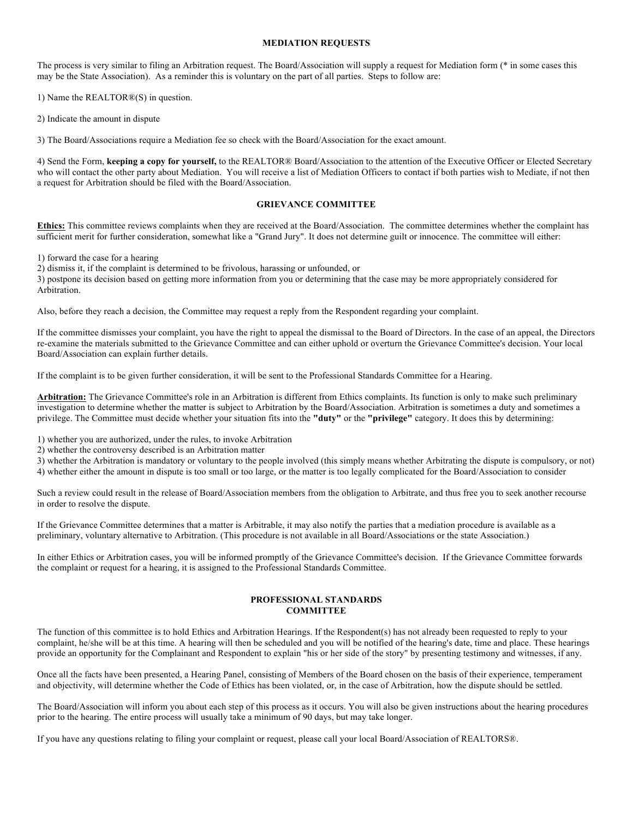#### **MEDIATION REQUESTS**

The process is very similar to filing an Arbitration request. The Board/Association will supply a request for Mediation form (\* in some cases this may be the State Association). As a reminder this is voluntary on the part of all parties. Steps to follow are:

1) Name the REALTOR®(S) in question.

2) Indicate the amount in dispute

3) The Board/Associations require a Mediation fee so check with the Board/Association for the exact amount.

4) Send the Form, **keeping a copy for yourself,** to the REALTOR® Board/Association to the attention of the Executive Officer or Elected Secretary who will contact the other party about Mediation. You will receive a list of Mediation Officers to contact if both parties wish to Mediate, if not then a request for Arbitration should be filed with the Board/Association.

## **GRIEVANCE COMMITTEE**

**Ethics:** This committee reviews complaints when they are received at the Board/Association. The committee determines whether the complaint has sufficient merit for further consideration, somewhat like a "Grand Jury". It does not determine guilt or innocence. The committee will either:

1) forward the case for a hearing

2) dismiss it, if the complaint is determined to be frivolous, harassing or unfounded, or

3) postpone its decision based on getting more information from you or determining that the case may be more appropriately considered for Arbitration.

Also, before they reach a decision, the Committee may request a reply from the Respondent regarding your complaint.

If the committee dismisses your complaint, you have the right to appeal the dismissal to the Board of Directors. In the case of an appeal, the Directors re-examine the materials submitted to the Grievance Committee and can either uphold or overturn the Grievance Committee's decision. Your local Board/Association can explain further details.

If the complaint is to be given further consideration, it will be sent to the Professional Standards Committee for a Hearing.

**Arbitration:** The Grievance Committee's role in an Arbitration is different from Ethics complaints. Its function is only to make such preliminary investigation to determine whether the matter is subject to Arbitration by the Board/Association. Arbitration is sometimes a duty and sometimes a privilege. The Committee must decide whether your situation fits into the **"duty"** or the **"privilege"** category. It does this by determining:

1) whether you are authorized, under the rules, to invoke Arbitration

2) whether the controversy described is an Arbitration matter

3) whether the Arbitration is mandatory or voluntary to the people involved (this simply means whether Arbitrating the dispute is compulsory, or not)

4) whether either the amount in dispute is too small or too large, or the matter is too legally complicated for the Board/Association to consider

Such a review could result in the release of Board/Association members from the obligation to Arbitrate, and thus free you to seek another recourse in order to resolve the dispute.

If the Grievance Committee determines that a matter is Arbitrable, it may also notify the parties that a mediation procedure is available as a preliminary, voluntary alternative to Arbitration. (This procedure is not available in all Board/Associations or the state Association.)

In either Ethics or Arbitration cases, you will be informed promptly of the Grievance Committee's decision. If the Grievance Committee forwards the complaint or request for a hearing, it is assigned to the Professional Standards Committee.

#### **PROFESSIONAL STANDARDS COMMITTEE**

The function of this committee is to hold Ethics and Arbitration Hearings. If the Respondent(s) has not already been requested to reply to your complaint, he/she will be at this time. A hearing will then be scheduled and you will be notified of the hearing's date, time and place. These hearings provide an opportunity for the Complainant and Respondent to explain "his or her side of the story" by presenting testimony and witnesses, if any.

Once all the facts have been presented, a Hearing Panel, consisting of Members of the Board chosen on the basis of their experience, temperament and objectivity, will determine whether the Code of Ethics has been violated, or, in the case of Arbitration, how the dispute should be settled.

The Board/Association will inform you about each step of this process as it occurs. You will also be given instructions about the hearing procedures prior to the hearing. The entire process will usually take a minimum of 90 days, but may take longer.

If you have any questions relating to filing your complaint or request, please call your local Board/Association of REALTORS®.